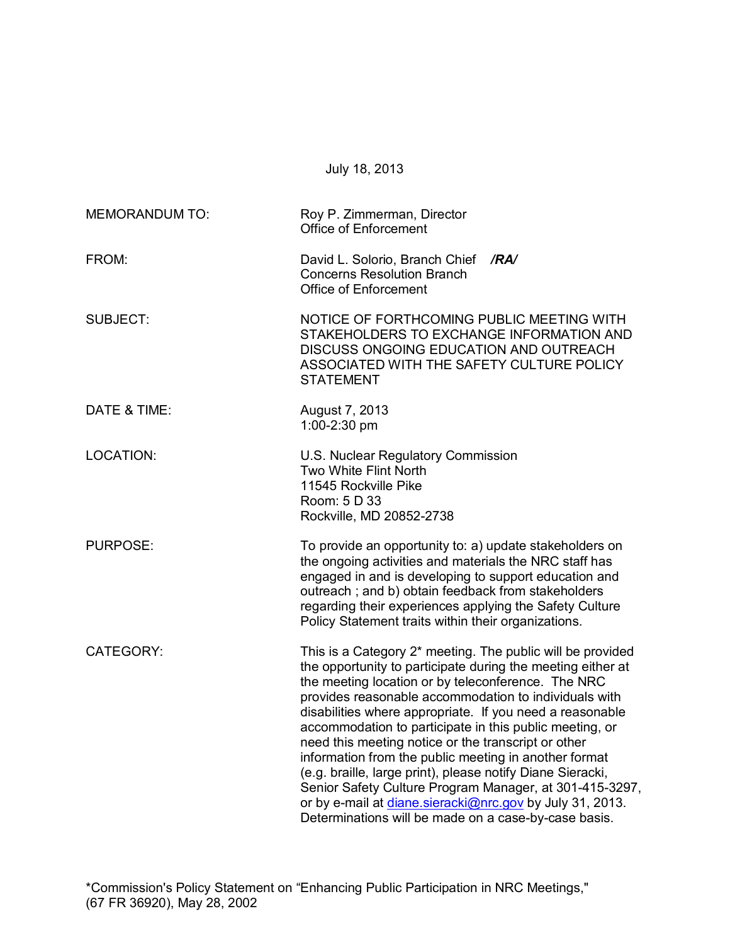|                       | July 18, 2013                                                                                                                                                                                                                                                                                                                                                                                                                                                                                                                                                                                                                                                                                                                |  |  |
|-----------------------|------------------------------------------------------------------------------------------------------------------------------------------------------------------------------------------------------------------------------------------------------------------------------------------------------------------------------------------------------------------------------------------------------------------------------------------------------------------------------------------------------------------------------------------------------------------------------------------------------------------------------------------------------------------------------------------------------------------------------|--|--|
| <b>MEMORANDUM TO:</b> | Roy P. Zimmerman, Director<br><b>Office of Enforcement</b>                                                                                                                                                                                                                                                                                                                                                                                                                                                                                                                                                                                                                                                                   |  |  |
| FROM:                 | David L. Solorio, Branch Chief /RA/<br><b>Concerns Resolution Branch</b><br>Office of Enforcement                                                                                                                                                                                                                                                                                                                                                                                                                                                                                                                                                                                                                            |  |  |
| <b>SUBJECT:</b>       | NOTICE OF FORTHCOMING PUBLIC MEETING WITH<br>STAKEHOLDERS TO EXCHANGE INFORMATION AND<br>DISCUSS ONGOING EDUCATION AND OUTREACH<br>ASSOCIATED WITH THE SAFETY CULTURE POLICY<br><b>STATEMENT</b>                                                                                                                                                                                                                                                                                                                                                                                                                                                                                                                             |  |  |
| DATE & TIME:          | August 7, 2013<br>$1:00 - 2:30$ pm                                                                                                                                                                                                                                                                                                                                                                                                                                                                                                                                                                                                                                                                                           |  |  |
| <b>LOCATION:</b>      | U.S. Nuclear Regulatory Commission<br>Two White Flint North<br>11545 Rockville Pike<br>Room: 5 D 33<br>Rockville, MD 20852-2738                                                                                                                                                                                                                                                                                                                                                                                                                                                                                                                                                                                              |  |  |
| <b>PURPOSE:</b>       | To provide an opportunity to: a) update stakeholders on<br>the ongoing activities and materials the NRC staff has<br>engaged in and is developing to support education and<br>outreach; and b) obtain feedback from stakeholders<br>regarding their experiences applying the Safety Culture<br>Policy Statement traits within their organizations.                                                                                                                                                                                                                                                                                                                                                                           |  |  |
| <b>CATEGORY:</b>      | This is a Category 2* meeting. The public will be provided<br>the opportunity to participate during the meeting either at<br>the meeting location or by teleconference. The NRC<br>provides reasonable accommodation to individuals with<br>disabilities where appropriate. If you need a reasonable<br>accommodation to participate in this public meeting, or<br>need this meeting notice or the transcript or other<br>information from the public meeting in another format<br>(e.g. braille, large print), please notify Diane Sieracki,<br>Senior Safety Culture Program Manager, at 301-415-3297,<br>or by e-mail at diane.sieracki@nrc.gov by July 31, 2013.<br>Determinations will be made on a case-by-case basis. |  |  |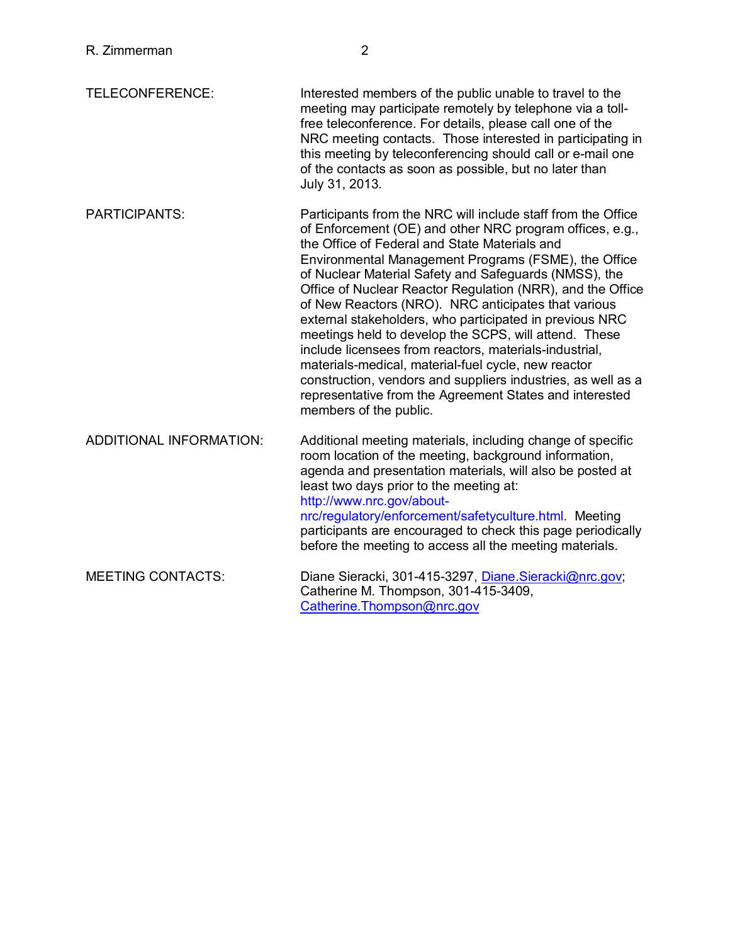| TELECONFERENCE:      | Interested members of the public unable to travel to the<br>meeting may participate remotely by telephone via a toll-<br>free teleconference. For details, please call one of the<br>NRC meeting contacts. Those interested in participating in<br>this meeting by teleconferencing should call or e-mail one<br>of the contacts as soon as possible, but no later than<br>July 31, 2013. |
|----------------------|-------------------------------------------------------------------------------------------------------------------------------------------------------------------------------------------------------------------------------------------------------------------------------------------------------------------------------------------------------------------------------------------|
| <b>PARTICIPANTS:</b> | Participants from the NRC will include staff from the Office                                                                                                                                                                                                                                                                                                                              |

of Enforcement (OE) and other NRC program offices, e.g., the Office of Federal and State Materials and Environmental Management Programs (FSME), the Office of Nuclear Material Safety and Safeguards (NMSS), the Office of Nuclear Reactor Regulation (NRR), and the Office of New Reactors (NRO). NRC anticipates that various external stakeholders, who participated in previous NRC meetings held to develop the SCPS, will attend. These include licensees from reactors, materials-industrial, materials-medical, material-fuel cycle, new reactor construction, vendors and suppliers industries, as well as a representative from the Agreement States and interested members of the public. ADDITIONAL INFORMATION: Additional meeting materials, including change of specific room location of the meeting, background information, agenda and presentation materials, will also be posted at least two days prior to the meeting at: http://www.nrc.gov/about-

nrc/regulatory/enforcement/safetyculture.html. Meeting participants are encouraged to check this page periodically before the meeting to access all the meeting materials.

MEETING CONTACTS: Diane Sieracki, 301-415-3297, [Diane.Sieracki@nrc.gov;](mailto:Diane.Sieracki@nrc.gov) Catherine M. Thompson, 301-415-3409, [Catherine.Thompson@nrc.gov](mailto:Catherine.Thompson@nrc.gov)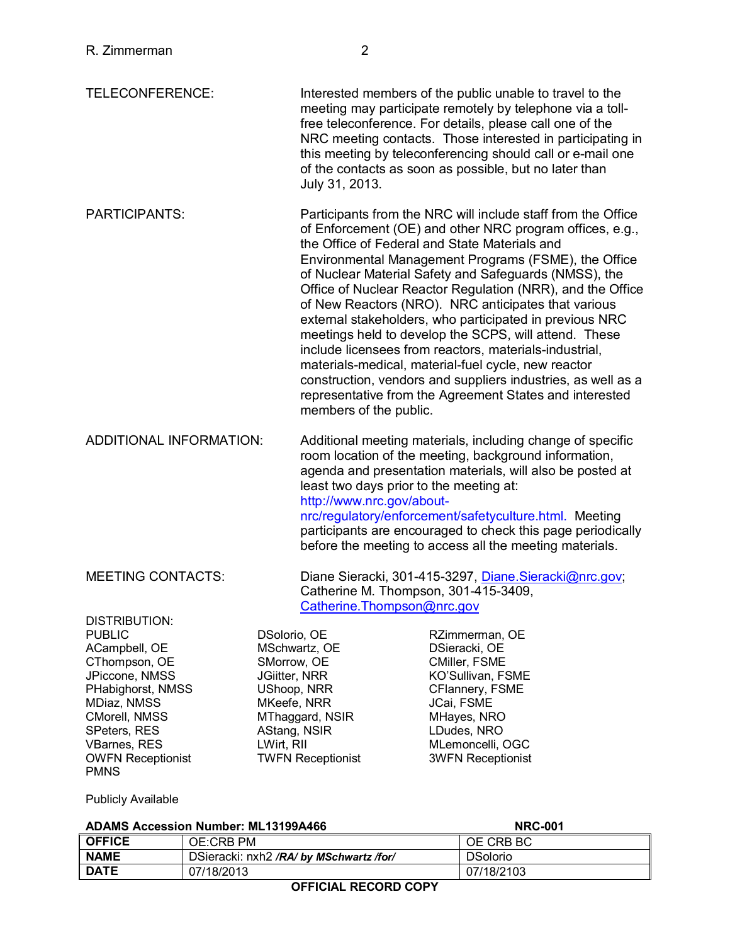| TELECONFERENCE:                |                      | Interested members of the public unable to travel to the<br>meeting may participate remotely by telephone via a toll-<br>free teleconference. For details, please call one of the<br>NRC meeting contacts. Those interested in participating in<br>this meeting by teleconferencing should call or e-mail one<br>of the contacts as soon as possible, but no later than<br>July 31, 2013. |                                                                                                                                                                                                                                                                                                                                                                                                                                                                                                                                                                                                                                                                                                                                                                                 |  |
|--------------------------------|----------------------|-------------------------------------------------------------------------------------------------------------------------------------------------------------------------------------------------------------------------------------------------------------------------------------------------------------------------------------------------------------------------------------------|---------------------------------------------------------------------------------------------------------------------------------------------------------------------------------------------------------------------------------------------------------------------------------------------------------------------------------------------------------------------------------------------------------------------------------------------------------------------------------------------------------------------------------------------------------------------------------------------------------------------------------------------------------------------------------------------------------------------------------------------------------------------------------|--|
| PARTICIPANTS:                  |                      | members of the public.                                                                                                                                                                                                                                                                                                                                                                    | Participants from the NRC will include staff from the Office<br>of Enforcement (OE) and other NRC program offices, e.g.,<br>the Office of Federal and State Materials and<br>Environmental Management Programs (FSME), the Office<br>of Nuclear Material Safety and Safeguards (NMSS), the<br>Office of Nuclear Reactor Regulation (NRR), and the Office<br>of New Reactors (NRO). NRC anticipates that various<br>external stakeholders, who participated in previous NRC<br>meetings held to develop the SCPS, will attend. These<br>include licensees from reactors, materials-industrial,<br>materials-medical, material-fuel cycle, new reactor<br>construction, vendors and suppliers industries, as well as a<br>representative from the Agreement States and interested |  |
| <b>ADDITIONAL INFORMATION:</b> |                      | http://www.nrc.gov/about-                                                                                                                                                                                                                                                                                                                                                                 | Additional meeting materials, including change of specific<br>room location of the meeting, background information,<br>agenda and presentation materials, will also be posted at<br>least two days prior to the meeting at:<br>nrc/regulatory/enforcement/safetyculture.html. Meeting<br>participants are encouraged to check this page periodically<br>before the meeting to access all the meeting materials.                                                                                                                                                                                                                                                                                                                                                                 |  |
| <b>MEETING CONTACTS:</b>       |                      | Catherine. Thompson@nrc.gov                                                                                                                                                                                                                                                                                                                                                               | Diane Sieracki, 301-415-3297, Diane.Sieracki@nrc.gov;<br>Catherine M. Thompson, 301-415-3409,                                                                                                                                                                                                                                                                                                                                                                                                                                                                                                                                                                                                                                                                                   |  |
| DISTRIBUTION:                  |                      |                                                                                                                                                                                                                                                                                                                                                                                           |                                                                                                                                                                                                                                                                                                                                                                                                                                                                                                                                                                                                                                                                                                                                                                                 |  |
| <b>PUBLIC</b><br>ACampbell, OE | DSolorio, OE         | MSchwartz, OE                                                                                                                                                                                                                                                                                                                                                                             | RZimmerman, OE<br>DSieracki, OE                                                                                                                                                                                                                                                                                                                                                                                                                                                                                                                                                                                                                                                                                                                                                 |  |
| CThompson, OE                  | SMorrow, OE          |                                                                                                                                                                                                                                                                                                                                                                                           | <b>CMiller, FSME</b>                                                                                                                                                                                                                                                                                                                                                                                                                                                                                                                                                                                                                                                                                                                                                            |  |
| JPiccone, NMSS                 | <b>JGiitter, NRR</b> |                                                                                                                                                                                                                                                                                                                                                                                           | KO'Sullivan, FSME                                                                                                                                                                                                                                                                                                                                                                                                                                                                                                                                                                                                                                                                                                                                                               |  |
| PHabighorst, NMSS              |                      | <b>UShoop, NRR</b>                                                                                                                                                                                                                                                                                                                                                                        | CFlannery, FSME                                                                                                                                                                                                                                                                                                                                                                                                                                                                                                                                                                                                                                                                                                                                                                 |  |
| MDiaz, NMSS                    | MKeefe, NRR          |                                                                                                                                                                                                                                                                                                                                                                                           | JCai, FSME                                                                                                                                                                                                                                                                                                                                                                                                                                                                                                                                                                                                                                                                                                                                                                      |  |
| CMorell, NMSS                  |                      | MThaggard, NSIR                                                                                                                                                                                                                                                                                                                                                                           | MHayes, NRO                                                                                                                                                                                                                                                                                                                                                                                                                                                                                                                                                                                                                                                                                                                                                                     |  |

SPeters, RES AStang, NSIR LDudes, NRO TWFN Receptionist

VBarnes, RES LWirt, RII LWIRT, RII MLemoncelli, OGC<br>
OWEN Receptionist TWFN Receptionist 3WFN Receptionist

## Publicly Available

PMNS

### **ADAMS Accession Number: ML13199A466 NRC-001**

| <b>OFFICE</b> | OE:CRB PM                               | OE CRB BC       |
|---------------|-----------------------------------------|-----------------|
| <b>NAME</b>   | DSieracki: nxh2 /RA/ by MSchwartz /for/ | <b>DSolorio</b> |
| <b>DATE</b>   | 07/18/2013                              | 07/18/2103      |

## **OFFICIAL RECORD COPY**